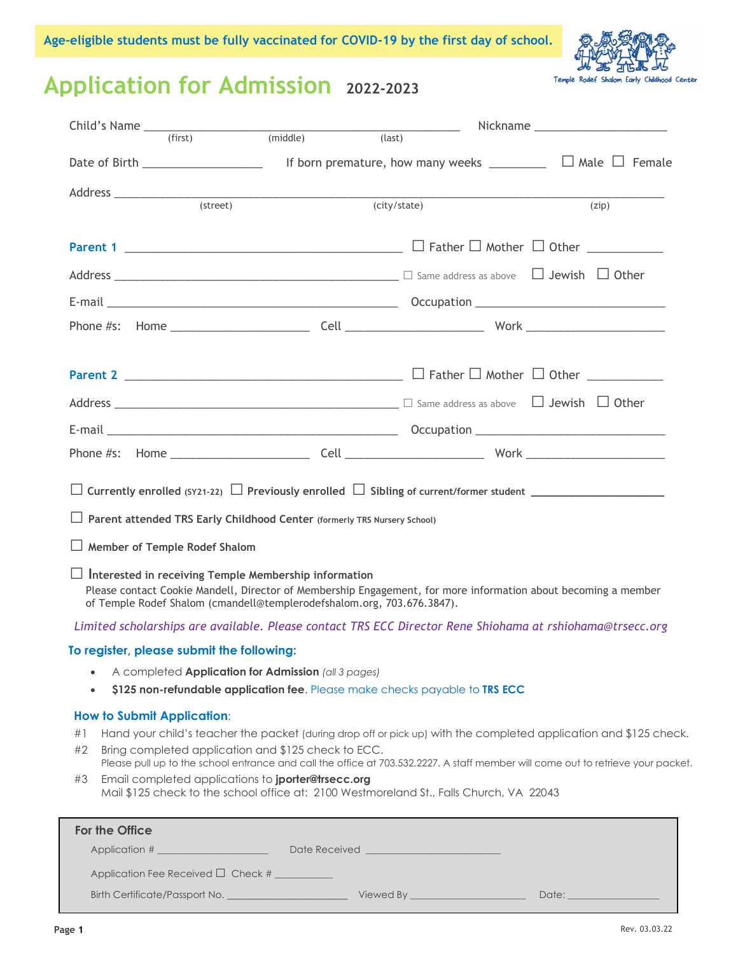

# **Application for Admission 2022-2023**

|                                                                                                                                                                                                                                                             |  |              | Nickname _______________________                                                                                                                                                                                                                      |
|-------------------------------------------------------------------------------------------------------------------------------------------------------------------------------------------------------------------------------------------------------------|--|--------------|-------------------------------------------------------------------------------------------------------------------------------------------------------------------------------------------------------------------------------------------------------|
|                                                                                                                                                                                                                                                             |  | (last)       |                                                                                                                                                                                                                                                       |
| Date of Birth ______________________                                                                                                                                                                                                                        |  |              | If born premature, how many weeks $\Box$ $\Box$ Male $\Box$ Female                                                                                                                                                                                    |
|                                                                                                                                                                                                                                                             |  |              |                                                                                                                                                                                                                                                       |
| (street)                                                                                                                                                                                                                                                    |  | (city/state) | (zip)                                                                                                                                                                                                                                                 |
|                                                                                                                                                                                                                                                             |  |              |                                                                                                                                                                                                                                                       |
|                                                                                                                                                                                                                                                             |  |              |                                                                                                                                                                                                                                                       |
|                                                                                                                                                                                                                                                             |  |              |                                                                                                                                                                                                                                                       |
|                                                                                                                                                                                                                                                             |  |              |                                                                                                                                                                                                                                                       |
|                                                                                                                                                                                                                                                             |  |              |                                                                                                                                                                                                                                                       |
|                                                                                                                                                                                                                                                             |  |              |                                                                                                                                                                                                                                                       |
| $Address$ $\qquad \qquad$ $\Box$ Other                                                                                                                                                                                                                      |  |              |                                                                                                                                                                                                                                                       |
|                                                                                                                                                                                                                                                             |  |              |                                                                                                                                                                                                                                                       |
|                                                                                                                                                                                                                                                             |  |              |                                                                                                                                                                                                                                                       |
|                                                                                                                                                                                                                                                             |  |              |                                                                                                                                                                                                                                                       |
| $\Box$ Parent attended TRS Early Childhood Center (formerly TRS Nursery School)                                                                                                                                                                             |  |              |                                                                                                                                                                                                                                                       |
| Member of Temple Rodef Shalom                                                                                                                                                                                                                               |  |              |                                                                                                                                                                                                                                                       |
| $\Box$ Interested in receiving Temple Membership information<br>Please contact Cookie Mandell, Director of Membership Engagement, for more information about becoming a member<br>of Temple Rodef Shalom (cmandell@templerodefshalom.org, 703.676.3847).    |  |              |                                                                                                                                                                                                                                                       |
| Limited scholarships are available. Please contact TRS ECC Director Rene Shiohama at rshiohama@trsecc.org                                                                                                                                                   |  |              |                                                                                                                                                                                                                                                       |
| To register, please submit the following:                                                                                                                                                                                                                   |  |              |                                                                                                                                                                                                                                                       |
| A completed Application for Admission (all 3 pages)<br>\$125 non-refundable application fee. Please make checks payable to TRS ECC                                                                                                                          |  |              |                                                                                                                                                                                                                                                       |
| <b>How to Submit Application:</b><br>#1<br>Bring completed application and \$125 check to ECC.<br>#2<br>Email completed applications to jporter@trsecc.org<br>#3<br>Mail \$125 check to the school office at: 2100 Westmoreland St., Falls Church, VA 22043 |  |              | Hand your child's teacher the packet (during drop off or pick up) with the completed application and \$125 check.<br>Please pull up to the school entrance and call the office at 703.532.2227. A staff member will come out to retrieve your packet. |
| For the Office                                                                                                                                                                                                                                              |  |              |                                                                                                                                                                                                                                                       |
|                                                                                                                                                                                                                                                             |  |              |                                                                                                                                                                                                                                                       |
| Application Fee Received □ Check #                                                                                                                                                                                                                          |  |              |                                                                                                                                                                                                                                                       |
|                                                                                                                                                                                                                                                             |  |              |                                                                                                                                                                                                                                                       |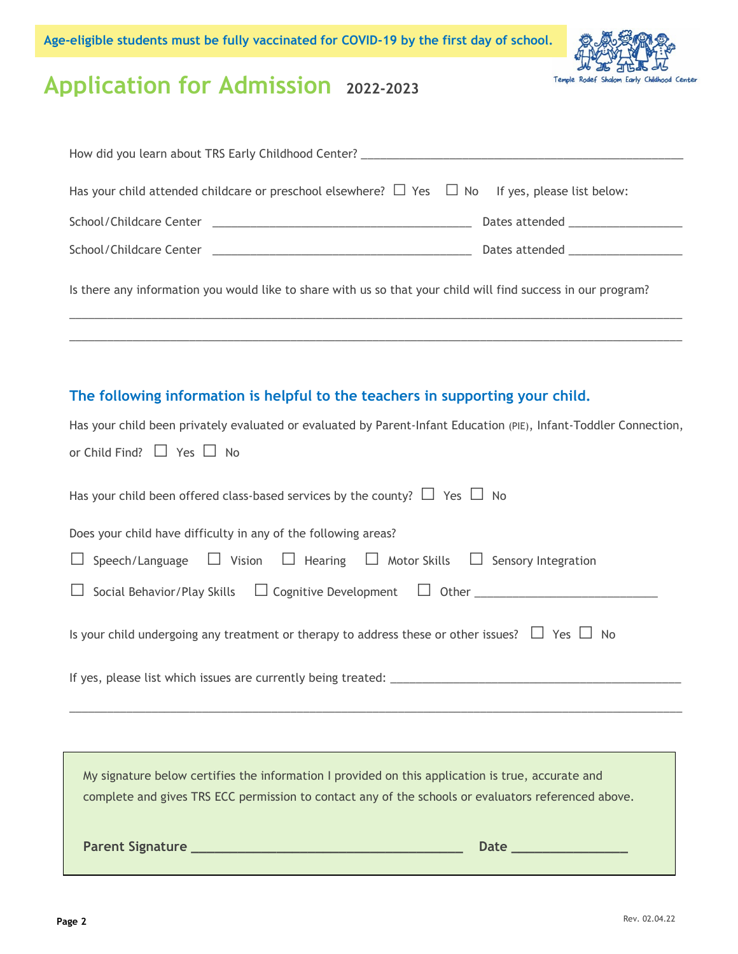

# **Application for Admission 2022-2023**

| How did you learn about TRS Early Childhood Center? ____________________________                              |  |
|---------------------------------------------------------------------------------------------------------------|--|
| Has your child attended childcare or preschool elsewhere? $\Box$ Yes $\Box$ No If yes, please list below:     |  |
|                                                                                                               |  |
|                                                                                                               |  |
| Is there any information you would like to share with us so that your child will find success in our program? |  |
|                                                                                                               |  |

### **The following information is helpful to the teachers in supporting your child.**

| <b>Parent Signature</b><br><b>Date</b><br><u> 1999 - Johann John Stone, markin biskup biskup og det ble store og store og store og store og store og store</u>                                           |
|----------------------------------------------------------------------------------------------------------------------------------------------------------------------------------------------------------|
| My signature below certifies the information I provided on this application is true, accurate and<br>complete and gives TRS ECC permission to contact any of the schools or evaluators referenced above. |
|                                                                                                                                                                                                          |
|                                                                                                                                                                                                          |
|                                                                                                                                                                                                          |
| Is your child undergoing any treatment or therapy to address these or other issues? $\Box$ Yes $\Box$ No                                                                                                 |
|                                                                                                                                                                                                          |
| $\Box$ Speech/Language $\Box$ Vision $\Box$ Hearing $\Box$ Motor Skills $\Box$ Sensory Integration                                                                                                       |
| Does your child have difficulty in any of the following areas?                                                                                                                                           |
| Has your child been offered class-based services by the county? $\Box$ Yes $\Box$ No                                                                                                                     |
| or Child Find? $\Box$ Yes $\Box$ No                                                                                                                                                                      |
| Has your child been privately evaluated or evaluated by Parent-Infant Education (PIE), Infant-Toddler Connection,                                                                                        |